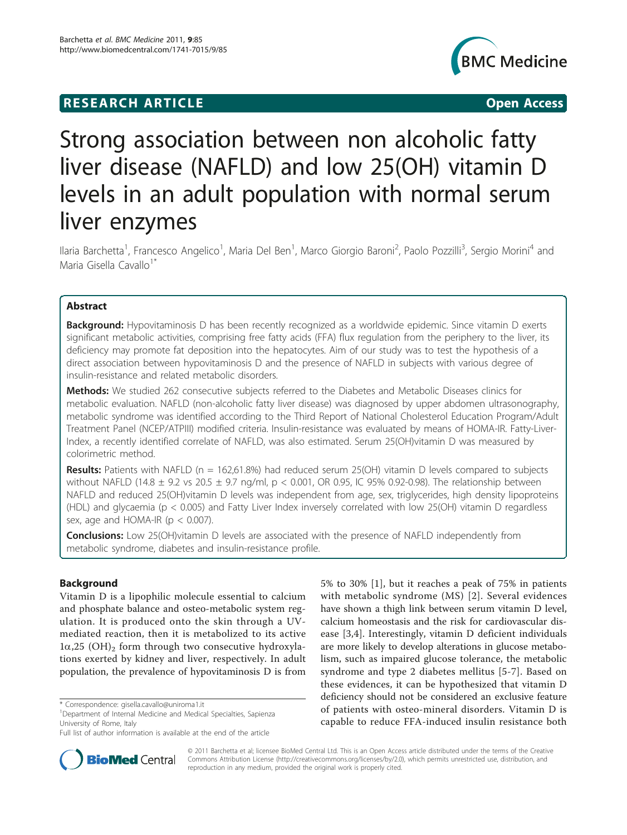## **RESEARCH ARTICLE Example 2018 CONSUMING ACCESS**



# Strong association between non alcoholic fatty liver disease (NAFLD) and low 25(OH) vitamin D levels in an adult population with normal serum liver enzymes

Ilaria Barchetta<sup>1</sup>, Francesco Angelico<sup>1</sup>, Maria Del Ben<sup>1</sup>, Marco Giorgio Baroni<sup>2</sup>, Paolo Pozzilli<sup>3</sup>, Sergio Morini<sup>4</sup> and Maria Gisella Cavallo<sup>1\*</sup>

## Abstract

**Background:** Hypovitaminosis D has been recently recognized as a worldwide epidemic. Since vitamin D exerts significant metabolic activities, comprising free fatty acids (FFA) flux regulation from the periphery to the liver, its deficiency may promote fat deposition into the hepatocytes. Aim of our study was to test the hypothesis of a direct association between hypovitaminosis D and the presence of NAFLD in subjects with various degree of insulin-resistance and related metabolic disorders.

Methods: We studied 262 consecutive subjects referred to the Diabetes and Metabolic Diseases clinics for metabolic evaluation. NAFLD (non-alcoholic fatty liver disease) was diagnosed by upper abdomen ultrasonography, metabolic syndrome was identified according to the Third Report of National Cholesterol Education Program/Adult Treatment Panel (NCEP/ATPIII) modified criteria. Insulin-resistance was evaluated by means of HOMA-IR. Fatty-Liver-Index, a recently identified correlate of NAFLD, was also estimated. Serum 25(OH)vitamin D was measured by colorimetric method.

**Results:** Patients with NAFLD (n = 162,61.8%) had reduced serum 25(OH) vitamin D levels compared to subjects without NAFLD (14.8 ± 9.2 vs 20.5 ± 9.7 ng/ml, p < 0.001, OR 0.95, IC 95% 0.92-0.98). The relationship between NAFLD and reduced 25(OH)vitamin D levels was independent from age, sex, triglycerides, high density lipoproteins (HDL) and glycaemia (p < 0.005) and Fatty Liver Index inversely correlated with low 25(OH) vitamin D regardless sex, age and HOMA-IR ( $p < 0.007$ ).

**Conclusions:** Low 25(OH)vitamin D levels are associated with the presence of NAFLD independently from metabolic syndrome, diabetes and insulin-resistance profile.

## Background

Vitamin D is a lipophilic molecule essential to calcium and phosphate balance and osteo-metabolic system regulation. It is produced onto the skin through a UVmediated reaction, then it is metabolized to its active  $1\alpha,25$  (OH)<sub>2</sub> form through two consecutive hydroxylations exerted by kidney and liver, respectively. In adult population, the prevalence of hypovitaminosis D is from 5% to 30% [[1\]](#page-5-0), but it reaches a peak of 75% in patients with metabolic syndrome (MS) [[2](#page-5-0)]. Several evidences have shown a thigh link between serum vitamin D level, calcium homeostasis and the risk for cardiovascular disease [[3,4](#page-6-0)]. Interestingly, vitamin D deficient individuals are more likely to develop alterations in glucose metabolism, such as impaired glucose tolerance, the metabolic syndrome and type 2 diabetes mellitus [[5](#page-6-0)-[7\]](#page-6-0). Based on these evidences, it can be hypothesized that vitamin D deficiency should not be considered an exclusive feature of patients with osteo-mineral disorders. Vitamin D is capable to reduce FFA-induced insulin resistance both



© 2011 Barchetta et al; licensee BioMed Central Ltd. This is an Open Access article distributed under the terms of the Creative Commons Attribution License [\(http://creativecommons.org/licenses/by/2.0](http://creativecommons.org/licenses/by/2.0)), which permits unrestricted use, distribution, and reproduction in any medium, provided the original work is properly cited.

<sup>\*</sup> Correspondence: [gisella.cavallo@uniroma1.it](mailto:gisella.cavallo@uniroma1.it)

<sup>&</sup>lt;sup>1</sup>Department of Internal Medicine and Medical Specialties, Sapienza University of Rome, Italy

Full list of author information is available at the end of the article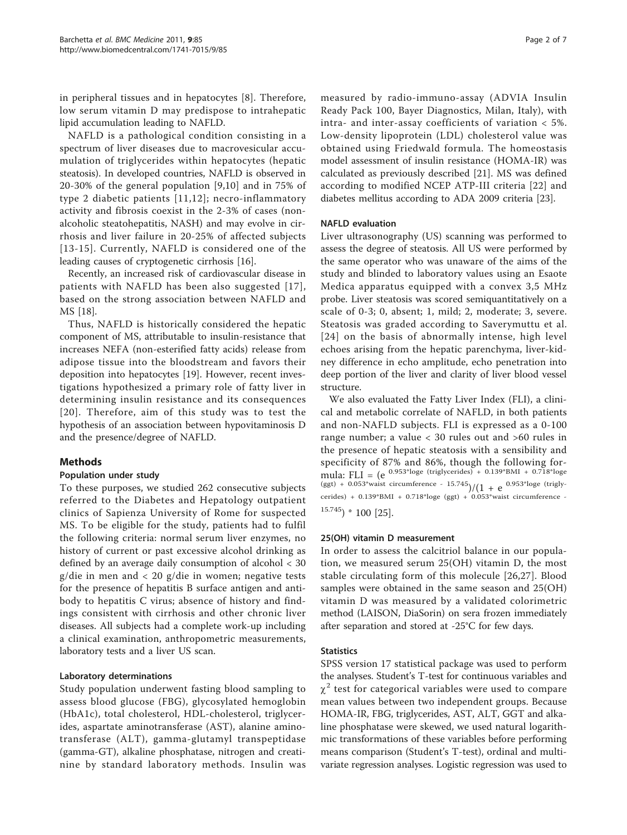in peripheral tissues and in hepatocytes [[8\]](#page-6-0). Therefore, low serum vitamin D may predispose to intrahepatic lipid accumulation leading to NAFLD.

NAFLD is a pathological condition consisting in a spectrum of liver diseases due to macrovesicular accumulation of triglycerides within hepatocytes (hepatic steatosis). In developed countries, NAFLD is observed in 20-30% of the general population [[9,10](#page-6-0)] and in 75% of type 2 diabetic patients [[11,12\]](#page-6-0); necro-inflammatory activity and fibrosis coexist in the 2-3% of cases (nonalcoholic steatohepatitis, NASH) and may evolve in cirrhosis and liver failure in 20-25% of affected subjects [[13-15](#page-6-0)]. Currently, NAFLD is considered one of the leading causes of cryptogenetic cirrhosis [\[16](#page-6-0)].

Recently, an increased risk of cardiovascular disease in patients with NAFLD has been also suggested [[17\]](#page-6-0), based on the strong association between NAFLD and MS [\[18\]](#page-6-0).

Thus, NAFLD is historically considered the hepatic component of MS, attributable to insulin-resistance that increases NEFA (non-esterified fatty acids) release from adipose tissue into the bloodstream and favors their deposition into hepatocytes [[19\]](#page-6-0). However, recent investigations hypothesized a primary role of fatty liver in determining insulin resistance and its consequences [[20](#page-6-0)]. Therefore, aim of this study was to test the hypothesis of an association between hypovitaminosis D and the presence/degree of NAFLD.

## Methods

## Population under study

To these purposes, we studied 262 consecutive subjects referred to the Diabetes and Hepatology outpatient clinics of Sapienza University of Rome for suspected MS. To be eligible for the study, patients had to fulfil the following criteria: normal serum liver enzymes, no history of current or past excessive alcohol drinking as defined by an average daily consumption of alcohol < 30 g/die in men and < 20 g/die in women; negative tests for the presence of hepatitis B surface antigen and antibody to hepatitis C virus; absence of history and findings consistent with cirrhosis and other chronic liver diseases. All subjects had a complete work-up including a clinical examination, anthropometric measurements, laboratory tests and a liver US scan.

## Laboratory determinations

Study population underwent fasting blood sampling to assess blood glucose (FBG), glycosylated hemoglobin (HbA1c), total cholesterol, HDL-cholesterol, triglycerides, aspartate aminotransferase (AST), alanine aminotransferase (ALT), gamma-glutamyl transpeptidase (gamma-GT), alkaline phosphatase, nitrogen and creatinine by standard laboratory methods. Insulin was measured by radio-immuno-assay (ADVIA Insulin Ready Pack 100, Bayer Diagnostics, Milan, Italy), with intra- and inter-assay coefficients of variation < 5%. Low-density lipoprotein (LDL) cholesterol value was obtained using Friedwald formula. The homeostasis model assessment of insulin resistance (HOMA-IR) was calculated as previously described [\[21](#page-6-0)]. MS was defined according to modified NCEP ATP-III criteria [\[22](#page-6-0)] and diabetes mellitus according to ADA 2009 criteria [[23\]](#page-6-0).

#### NAFLD evaluation

Liver ultrasonography (US) scanning was performed to assess the degree of steatosis. All US were performed by the same operator who was unaware of the aims of the study and blinded to laboratory values using an Esaote Medica apparatus equipped with a convex 3,5 MHz probe. Liver steatosis was scored semiquantitatively on a scale of 0-3; 0, absent; 1, mild; 2, moderate; 3, severe. Steatosis was graded according to Saverymuttu et al. [[24](#page-6-0)] on the basis of abnormally intense, high level echoes arising from the hepatic parenchyma, liver-kidney difference in echo amplitude, echo penetration into deep portion of the liver and clarity of liver blood vessel structure.

We also evaluated the Fatty Liver Index (FLI), a clinical and metabolic correlate of NAFLD, in both patients and non-NAFLD subjects. FLI is expressed as a 0-100 range number; a value < 30 rules out and >60 rules in the presence of hepatic steatosis with a sensibility and specificity of 87% and 86%, though the following formula:  $FLI = (e^{0.953*loge (triglycerides)} + 0.139*BMI + 0.718*loge$ (ggt) + 0.053\*waist circumference - 15.745)/ $(1 + e^{0.953*}$ loge (triglycerides) +  $0.139*$ BMI +  $0.718*$ loge (ggt) +  $0.053*$ waist circumference - $15.745$ ) \* 100 [[25\]](#page-6-0).

## 25(OH) vitamin D measurement

In order to assess the calcitriol balance in our population, we measured serum 25(OH) vitamin D, the most stable circulating form of this molecule [[26](#page-6-0),[27\]](#page-6-0). Blood samples were obtained in the same season and 25(OH) vitamin D was measured by a validated colorimetric method (LAISON, DiaSorin) on sera frozen immediately after separation and stored at -25°C for few days.

## **Statistics**

SPSS version 17 statistical package was used to perform the analyses. Student's T-test for continuous variables and  $\chi^2$  test for categorical variables were used to compare mean values between two independent groups. Because HOMA-IR, FBG, triglycerides, AST, ALT, GGT and alkaline phosphatase were skewed, we used natural logarithmic transformations of these variables before performing means comparison (Student's T-test), ordinal and multivariate regression analyses. Logistic regression was used to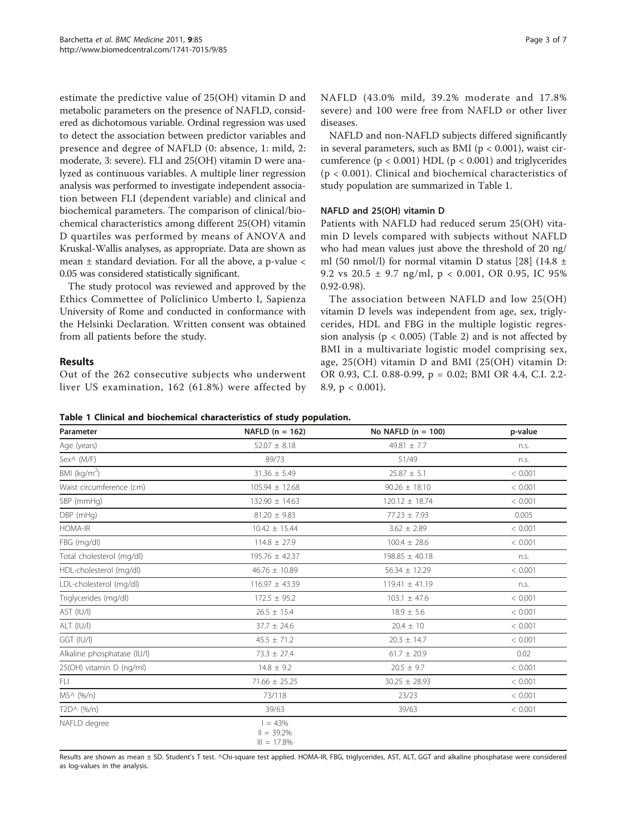estimate the predictive value of 25(OH) vitamin D and metabolic parameters on the presence of NAFLD, considered as dichotomous variable. Ordinal regression was used to detect the association between predictor variables and presence and degree of NAFLD (0: absence, 1: mild, 2: moderate, 3: severe). FLI and 25(OH) vitamin D were analyzed as continuous variables. A multiple liner regression analysis was performed to investigate independent association between FLI (dependent variable) and clinical and biochemical parameters. The comparison of clinical/biochemical characteristics among different 25(OH) vitamin D quartiles was performed by means of ANOVA and Kruskal-Wallis analyses, as appropriate. Data are shown as mean ± standard deviation. For all the above, a p-value < 0.05 was considered statistically significant.

The study protocol was reviewed and approved by the Ethics Commettee of Policlinico Umberto I, Sapienza University of Rome and conducted in conformance with the Helsinki Declaration. Written consent was obtained from all patients before the study.

#### Results

Out of the 262 consecutive subjects who underwent liver US examination, 162 (61.8%) were affected by NAFLD (43.0% mild, 39.2% moderate and 17.8% severe) and 100 were free from NAFLD or other liver diseases.

NAFLD and non-NAFLD subjects differed significantly in several parameters, such as BMI ( $p < 0.001$ ), waist circumference  $(p < 0.001)$  HDL  $(p < 0.001)$  and triglycerides (p < 0.001). Clinical and biochemical characteristics of study population are summarized in Table 1.

#### NAFLD and 25(OH) vitamin D

Patients with NAFLD had reduced serum 25(OH) vitamin D levels compared with subjects without NAFLD who had mean values just above the threshold of 20 ng/ ml (50 nmol/l) for normal vitamin D status [[28\]](#page-6-0) (14.8  $\pm$ 9.2 vs 20.5 ± 9.7 ng/ml, p < 0.001, OR 0.95, IC 95% 0.92-0.98).

The association between NAFLD and low 25(OH) vitamin D levels was independent from age, sex, triglycerides, HDL and FBG in the multiple logistic regression analysis ( $p < 0.005$ ) (Table [2](#page-3-0)) and is not affected by BMI in a multivariate logistic model comprising sex, age, 25(OH) vitamin D and BMI (25(OH) vitamin D: OR 0.93, C.I. 0.88-0.99, p = 0.02; BMI OR 4.4, C.I. 2.2- 8.9,  $p < 0.001$ ).

Table 1 Clinical and biochemical characteristics of study population.

| Parameter                   | NAFLD $(n = 162)$                            | No NAFLD $(n = 100)$ | p-value |
|-----------------------------|----------------------------------------------|----------------------|---------|
| Age (years)                 | $52.07 \pm 8.18$                             | $49.81 \pm 7.7$      | n.s.    |
| Sex^ (M/F)                  | 89/73                                        | 51/49                | n.s.    |
| BMI $(kq/m2)$               | $31.36 \pm 5.49$                             | $25.87 \pm 5.1$      | < 0.001 |
| Waist circumference (cm)    | $105.94 \pm 12.68$                           | $90.26 \pm 18.10$    | < 0.001 |
| SBP (mmHg)                  | $132.90 \pm 14.63$                           | $120.12 \pm 18.74$   | < 0.001 |
| DBP (mHg)                   | $81.20 \pm 9.83$                             | $77.23 \pm 7.93$     | 0.005   |
| HOMA-IR                     | $10.42 \pm 15.44$                            | $3.62 \pm 2.89$      | < 0.001 |
| FBG (mg/dl)                 | $114.8 \pm 27.9$                             | $100.4 \pm 28.6$     | < 0.001 |
| Total cholesterol (mg/dl)   | 195.76 ± 42.37                               | $198.85 \pm 40.18$   | n.s.    |
| HDL-cholesterol (mg/dl)     | $46.76 \pm 10.89$                            | $56.34 \pm 12.29$    | < 0.001 |
| LDL-cholesterol (mg/dl)     | $116.97 \pm 43.39$                           | $119.41 \pm 41.19$   | n.s.    |
| Triglycerides (mg/dl)       | $172.5 \pm 95.2$                             | $103.1 \pm 47.6$     | < 0.001 |
| AST (IU/I)                  | $26.5 \pm 15.4$                              | $18.9 \pm 5.6$       | < 0.001 |
| ALT (IU/I)                  | $37.7 \pm 24.6$                              | $20.4 \pm 10$        | < 0.001 |
| GGT (IU/I)                  | $45.5 \pm 71.2$                              | $20.3 \pm 14.7$      | < 0.001 |
| Alkaline phosphatase (IU/I) | $73.3 \pm 27.4$                              | $61.7 \pm 20.9$      | 0.02    |
| 25(OH) vitamin D (ng/ml)    | $14.8 \pm 9.2$                               | $20.5 \pm 9.7$       | < 0.001 |
| FLI                         | $71.66 \pm 25.25$                            | $30.25 \pm 28.93$    | < 0.001 |
| $MS^{\wedge}$ (%/n)         | 73/118                                       | 23/23                | < 0.001 |
| $T2D^{\wedge}$ (%/n)        | 39/63                                        | 39/63                | < 0.001 |
| NAFLD degree                | $1 = 43%$<br>$II = 39.2\%$<br>$III = 17.8\%$ |                      |         |

Results are shown as mean ± SD. Student's T test. ^Chi-square test applied. HOMA-IR, FBG, triglycerides, AST, ALT, GGT and alkaline phosphatase were considered as log-values in the analysis.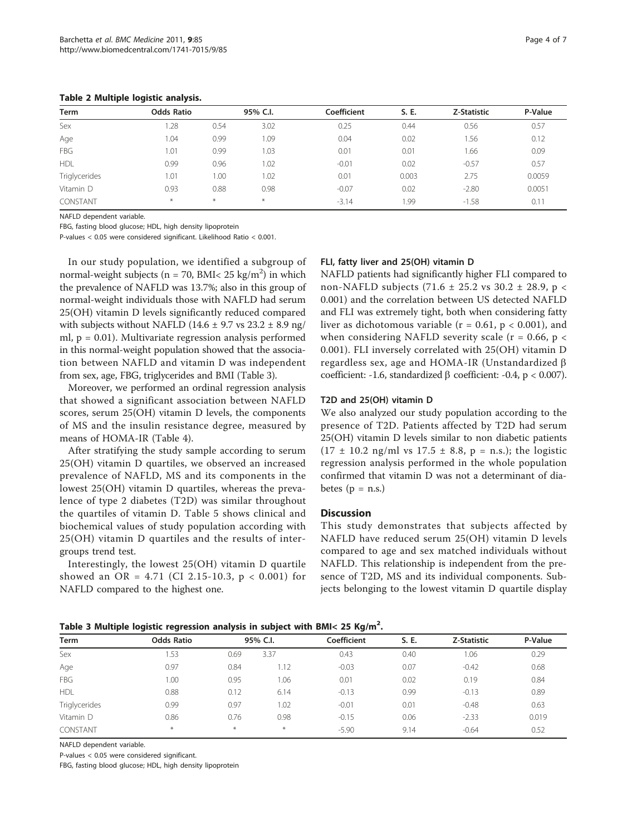<span id="page-3-0"></span>Table 2 Multiple logistic analysis.

| <b>Term</b>   | <b>Odds Ratio</b> |      | 95% C.I.    | Coefficient | S. E. | Z-Statistic | P-Value       |
|---------------|-------------------|------|-------------|-------------|-------|-------------|---------------|
| Sex           | .28               | 0.54 | 3.02        | 0.25        | 0.44  | 0.56        | 0.57          |
| Age           | 1.04              | 0.99 | <b>1.09</b> | 0.04        | 0.02  | 1.56        | 0.12          |
| <b>FBG</b>    | 1.01              | 0.99 | i .03       | 0.01        | 0.01  | 1.66        | 0.09          |
| <b>HDL</b>    | 0.99              | 0.96 | 1.02        | $-0.01$     | 0.02  | $-0.57$     | 0.57          |
| Triglycerides | 1.01              | 1.00 | 1.02        | 0.01        | 0.003 | 2.75        | 0.0059        |
| Vitamin D     | 0.93              | 0.88 | 0.98        | $-0.07$     | 0.02  | $-2.80$     | 0.0051        |
| CONSTANT      | $*$               | $*$  | $*$         | $-3.14$     | .99   | $-1.58$     | $0.1^{\circ}$ |

NAFLD dependent variable.

FBG, fasting blood glucose; HDL, high density lipoprotein

P-values < 0.05 were considered significant. Likelihood Ratio < 0.001.

In our study population, we identified a subgroup of normal-weight subjects (n = 70, BMI< 25 kg/m<sup>2</sup>) in which the prevalence of NAFLD was 13.7%; also in this group of normal-weight individuals those with NAFLD had serum 25(OH) vitamin D levels significantly reduced compared with subjects without NAFLD (14.6  $\pm$  9.7 vs 23.2  $\pm$  8.9 ng/ ml, p = 0.01). Multivariate regression analysis performed in this normal-weight population showed that the association between NAFLD and vitamin D was independent from sex, age, FBG, triglycerides and BMI (Table 3).

Moreover, we performed an ordinal regression analysis that showed a significant association between NAFLD scores, serum 25(OH) vitamin D levels, the components of MS and the insulin resistance degree, measured by means of HOMA-IR (Table [4\)](#page-4-0).

After stratifying the study sample according to serum 25(OH) vitamin D quartiles, we observed an increased prevalence of NAFLD, MS and its components in the lowest 25(OH) vitamin D quartiles, whereas the prevalence of type 2 diabetes (T2D) was similar throughout the quartiles of vitamin D. Table [5](#page-4-0) shows clinical and biochemical values of study population according with 25(OH) vitamin D quartiles and the results of intergroups trend test.

Interestingly, the lowest 25(OH) vitamin D quartile showed an OR =  $4.71$  (CI 2.15-10.3, p < 0.001) for NAFLD compared to the highest one.

#### FLI, fatty liver and 25(OH) vitamin D

NAFLD patients had significantly higher FLI compared to non-NAFLD subjects (71.6 ± 25.2 vs 30.2 ± 28.9, p < 0.001) and the correlation between US detected NAFLD and FLI was extremely tight, both when considering fatty liver as dichotomous variable ( $r = 0.61$ ,  $p < 0.001$ ), and when considering NAFLD severity scale ( $r = 0.66$ ,  $p <$ 0.001). FLI inversely correlated with 25(OH) vitamin D regardless sex, age and HOMA-IR (Unstandardized  $\beta$ coefficient: -1.6, standardized  $\beta$  coefficient: -0.4, p < 0.007).

## T2D and 25(OH) vitamin D

We also analyzed our study population according to the presence of T2D. Patients affected by T2D had serum 25(OH) vitamin D levels similar to non diabetic patients  $(17 \pm 10.2 \text{ ng/ml vs } 17.5 \pm 8.8, \text{ p = n.s.})$ ; the logistic regression analysis performed in the whole population confirmed that vitamin D was not a determinant of diabetes ( $p = n.s$ .)

## **Discussion**

This study demonstrates that subjects affected by NAFLD have reduced serum 25(OH) vitamin D levels compared to age and sex matched individuals without NAFLD. This relationship is independent from the presence of T2D, MS and its individual components. Subjects belonging to the lowest vitamin D quartile display

|  |  | Table 3 Multiple logistic regression analysis in subject with BMI< 25 Kg/m <sup>2</sup> . |  |  |
|--|--|-------------------------------------------------------------------------------------------|--|--|
|--|--|-------------------------------------------------------------------------------------------|--|--|

| <b>Term</b>   | <b>Odds Ratio</b> |      | 95% C.I. | Coefficient | S. E. | Z-Statistic | P-Value |
|---------------|-------------------|------|----------|-------------|-------|-------------|---------|
| Sex           | 1.53              | 0.69 | 3.37     | 0.43        | 0.40  | 1.06        | 0.29    |
| Age           | 0.97              | 0.84 | 1.12     | $-0.03$     | 0.07  | $-0.42$     | 0.68    |
| <b>FBG</b>    | 1.00              | 0.95 | .06      | 0.01        | 0.02  | 0.19        | 0.84    |
| <b>HDL</b>    | 0.88              | 0.12 | 6.14     | $-0.13$     | 0.99  | $-0.13$     | 0.89    |
| Triglycerides | 0.99              | 0.97 | .02      | $-0.01$     | 0.01  | $-0.48$     | 0.63    |
| Vitamin D     | 0.86              | 0.76 | 0.98     | $-0.15$     | 0.06  | $-2.33$     | 0.019   |
| CONSTANT      | $*$               | $*$  | $*$      | $-5.90$     | 9.14  | $-0.64$     | 0.52    |

NAFLD dependent variable.

P-values < 0.05 were considered significant.

FBG, fasting blood glucose; HDL, high density lipoprotein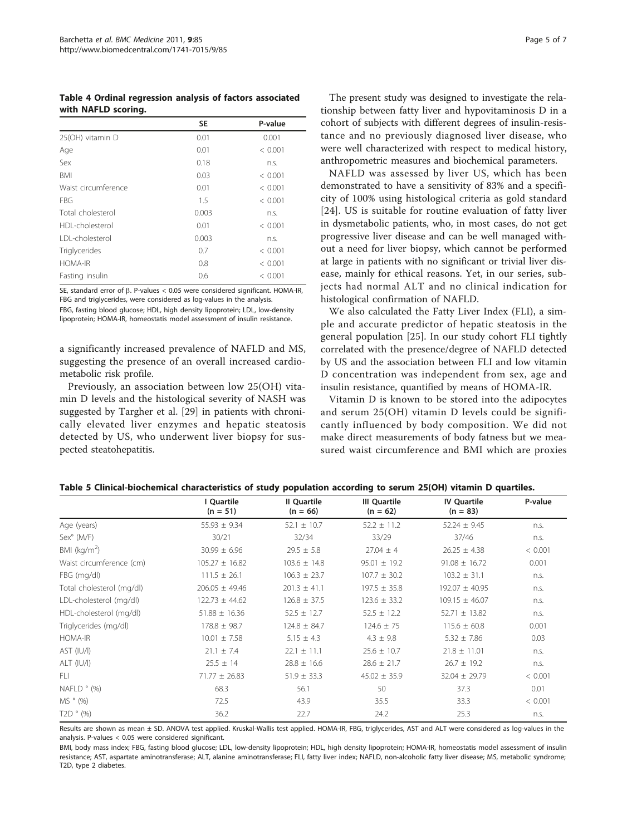<span id="page-4-0"></span>Table 4 Ordinal regression analysis of factors associated with NAFLD scoring.

|                     | <b>SE</b> | P-value |
|---------------------|-----------|---------|
| 25(OH) vitamin D    | 0.01      | 0.001   |
| Age                 | 0.01      | < 0.001 |
| Sex                 | 0.18      | n.s.    |
| <b>BMI</b>          | 0.03      | < 0.001 |
| Waist circumference | 0.01      | < 0.001 |
| <b>FBG</b>          | 1.5       | < 0.001 |
| Total cholesterol   | 0.003     | n.s.    |
| HDI-cholesterol     | 0.01      | < 0.001 |
| LDL-cholesterol     | 0.003     | n.s.    |
| Triglycerides       | 0.7       | < 0.001 |
| HOMA-IR             | 0.8       | < 0.001 |
| Fasting insulin     | 0.6       | < 0.001 |

SE, standard error of  $\beta$ . P-values < 0.05 were considered significant. HOMA-IR, FBG and triglycerides, were considered as log-values in the analysis FBG, fasting blood glucose; HDL, high density lipoprotein; LDL, low-density

lipoprotein; HOMA-IR, homeostatis model assessment of insulin resistance.

a significantly increased prevalence of NAFLD and MS, suggesting the presence of an overall increased cardiometabolic risk profile.

Previously, an association between low 25(OH) vitamin D levels and the histological severity of NASH was suggested by Targher et al. [[29](#page-6-0)] in patients with chronically elevated liver enzymes and hepatic steatosis detected by US, who underwent liver biopsy for suspected steatohepatitis.

The present study was designed to investigate the relationship between fatty liver and hypovitaminosis D in a cohort of subjects with different degrees of insulin-resistance and no previously diagnosed liver disease, who were well characterized with respect to medical history, anthropometric measures and biochemical parameters.

NAFLD was assessed by liver US, which has been demonstrated to have a sensitivity of 83% and a specificity of 100% using histological criteria as gold standard [[24](#page-6-0)]. US is suitable for routine evaluation of fatty liver in dysmetabolic patients, who, in most cases, do not get progressive liver disease and can be well managed without a need for liver biopsy, which cannot be performed at large in patients with no significant or trivial liver disease, mainly for ethical reasons. Yet, in our series, subjects had normal ALT and no clinical indication for histological confirmation of NAFLD.

We also calculated the Fatty Liver Index (FLI), a simple and accurate predictor of hepatic steatosis in the general population [[25\]](#page-6-0). In our study cohort FLI tightly correlated with the presence/degree of NAFLD detected by US and the association between FLI and low vitamin D concentration was independent from sex, age and insulin resistance, quantified by means of HOMA-IR.

Vitamin D is known to be stored into the adipocytes and serum 25(OH) vitamin D levels could be significantly influenced by body composition. We did not make direct measurements of body fatness but we measured waist circumference and BMI which are proxies

| Table 5 Clinical-biochemical characteristics of study population according to serum 25(OH) vitamin D quartiles. |            |             |              |             |         |
|-----------------------------------------------------------------------------------------------------------------|------------|-------------|--------------|-------------|---------|
|                                                                                                                 | ' Ouartile | Il Ouartile | III Quartile | IV Quartile | P-value |

|                           | l Quartile<br>$(n = 51)$ | Il Quartile<br>$(n = 66)$ | III Quartile<br>$(n = 62)$ | <b>IV Quartile</b><br>$(n = 83)$ | P-value |
|---------------------------|--------------------------|---------------------------|----------------------------|----------------------------------|---------|
| Age (years)               | $55.93 \pm 9.34$         | $52.1 \pm 10.7$           | $52.2 \pm 11.2$            | $52.24 \pm 9.45$                 | n.s.    |
| $Sex^{\circ}$ (M/F)       | 30/21                    | 32/34                     | 33/29                      | 37/46                            | n.s.    |
| BMI ( $kg/m2$ )           | $30.99 \pm 6.96$         | $29.5 \pm 5.8$            | $27.04 \pm 4$              | $26.25 \pm 4.38$                 | < 0.001 |
| Waist circumference (cm)  | $105.27 \pm 16.82$       | $103.6 \pm 14.8$          | $95.01 \pm 19.2$           | $91.08 \pm 16.72$                | 0.001   |
| FBG (mg/dl)               | $111.5 \pm 26.1$         | $106.3 \pm 23.7$          | $107.7 \pm 30.2$           | $103.2 \pm 31.1$                 | n.s.    |
| Total cholesterol (mg/dl) | $206.05 \pm 49.46$       | $201.3 \pm 41.1$          | $197.5 \pm 35.8$           | $192.07 \pm 40.95$               | n.s.    |
| LDL-cholesterol (mg/dl)   | $122.73 \pm 44.62$       | $126.8 \pm 37.5$          | $123.6 \pm 33.2$           | $109.15 \pm 46.07$               | n.s.    |
| HDL-cholesterol (mg/dl)   | $51.88 \pm 16.36$        | $52.5 \pm 12.7$           | $52.5 \pm 12.2$            | $52.71 \pm 13.82$                | n.s.    |
| Triglycerides (mg/dl)     | $178.8 \pm 98.7$         | $124.8 \pm 84.7$          | $124.6 \pm 75$             | $115.6 \pm 60.8$                 | 0.001   |
| HOMA-IR                   | $10.01 \pm 7.58$         | $5.15 \pm 4.3$            | $4.3 \pm 9.8$              | $5.32 \pm 7.86$                  | 0.03    |
| AST (IU/I)                | $21.1 \pm 7.4$           | $22.1 \pm 11.1$           | $25.6 \pm 10.7$            | $21.8 \pm 11.01$                 | n.s.    |
| ALT (IU/I)                | $25.5 \pm 14$            | $28.8 \pm 16.6$           | $28.6 \pm 21.7$            | $26.7 \pm 19.2$                  | n.s.    |
| <b>FLI</b>                | $71.77 \pm 26.83$        | $51.9 \pm 33.3$           | $45.02 \pm 35.9$           | $32.04 \pm 29.79$                | < 0.001 |
| NAFLD $\degree$ (%)       | 68.3                     | 56.1                      | 50                         | 37.3                             | 0.01    |
| MS ° (%)                  | 72.5                     | 43.9                      | 35.5                       | 33.3                             | < 0.001 |
| $T2D$ $(%)$               | 36.2                     | 22.7                      | 24.2                       | 25.3                             | n.s.    |

Results are shown as mean ± SD. ANOVA test applied. Kruskal-Wallis test applied. HOMA-IR, FBG, triglycerides, AST and ALT were considered as log-values in the analysis. P-values < 0.05 were considered significant.

BMI, body mass index; FBG, fasting blood glucose; LDL, low-density lipoprotein; HDL, high density lipoprotein; HOMA-IR, homeostatis model assessment of insulin resistance; AST, aspartate aminotransferase; ALT, alanine aminotransferase; FLI, fatty liver index; NAFLD, non-alcoholic fatty liver disease; MS, metabolic syndrome; T2D, type 2 diabetes.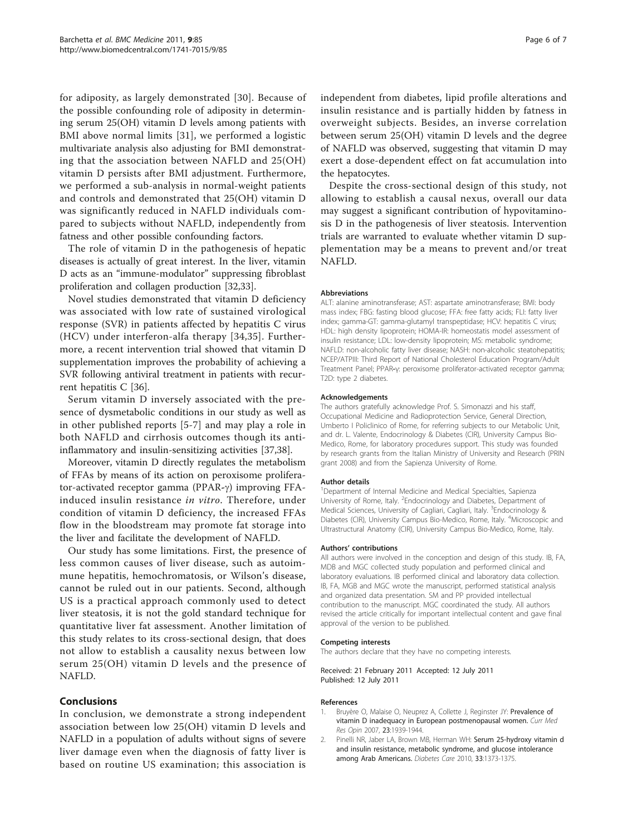<span id="page-5-0"></span>for adiposity, as largely demonstrated [[30\]](#page-6-0). Because of the possible confounding role of adiposity in determining serum 25(OH) vitamin D levels among patients with BMI above normal limits [[31\]](#page-6-0), we performed a logistic multivariate analysis also adjusting for BMI demonstrating that the association between NAFLD and 25(OH) vitamin D persists after BMI adjustment. Furthermore, we performed a sub-analysis in normal-weight patients and controls and demonstrated that 25(OH) vitamin D was significantly reduced in NAFLD individuals compared to subjects without NAFLD, independently from fatness and other possible confounding factors.

The role of vitamin D in the pathogenesis of hepatic diseases is actually of great interest. In the liver, vitamin D acts as an "immune-modulator" suppressing fibroblast proliferation and collagen production [[32,33](#page-6-0)].

Novel studies demonstrated that vitamin D deficiency was associated with low rate of sustained virological response (SVR) in patients affected by hepatitis C virus (HCV) under interferon-alfa therapy [[34,35](#page-6-0)]. Furthermore, a recent intervention trial showed that vitamin D supplementation improves the probability of achieving a SVR following antiviral treatment in patients with recurrent hepatitis C [\[36\]](#page-6-0).

Serum vitamin D inversely associated with the presence of dysmetabolic conditions in our study as well as in other published reports [[5-7](#page-6-0)] and may play a role in both NAFLD and cirrhosis outcomes though its antiinflammatory and insulin-sensitizing activities [\[37,38\]](#page-6-0).

Moreover, vitamin D directly regulates the metabolism of FFAs by means of its action on peroxisome proliferator-activated receptor gamma (PPAR- $\gamma$ ) improving FFAinduced insulin resistance in vitro. Therefore, under condition of vitamin D deficiency, the increased FFAs flow in the bloodstream may promote fat storage into the liver and facilitate the development of NAFLD.

Our study has some limitations. First, the presence of less common causes of liver disease, such as autoimmune hepatitis, hemochromatosis, or Wilson's disease, cannot be ruled out in our patients. Second, although US is a practical approach commonly used to detect liver steatosis, it is not the gold standard technique for quantitative liver fat assessment. Another limitation of this study relates to its cross-sectional design, that does not allow to establish a causality nexus between low serum 25(OH) vitamin D levels and the presence of NAFLD.

## Conclusions

In conclusion, we demonstrate a strong independent association between low 25(OH) vitamin D levels and NAFLD in a population of adults without signs of severe liver damage even when the diagnosis of fatty liver is based on routine US examination; this association is independent from diabetes, lipid profile alterations and insulin resistance and is partially hidden by fatness in overweight subjects. Besides, an inverse correlation between serum 25(OH) vitamin D levels and the degree of NAFLD was observed, suggesting that vitamin D may exert a dose-dependent effect on fat accumulation into the hepatocytes.

Despite the cross-sectional design of this study, not allowing to establish a causal nexus, overall our data may suggest a significant contribution of hypovitaminosis D in the pathogenesis of liver steatosis. Intervention trials are warranted to evaluate whether vitamin D supplementation may be a means to prevent and/or treat NAFLD.

#### Abbreviations

ALT: alanine aminotransferase; AST: aspartate aminotransferase; BMI: body mass index; FBG: fasting blood glucose; FFA: free fatty acids; FLI: fatty liver index; gamma-GT: gamma-glutamyl transpeptidase; HCV: hepatitis C virus; HDL: high density lipoprotein; HOMA-IR: homeostatis model assessment of insulin resistance; LDL: low-density lipoprotein; MS: metabolic syndrome; NAFLD: non-alcoholic fatty liver disease; NASH: non-alcoholic steatohepatitis; NCEP/ATPIII: Third Report of National Cholesterol Education Program/Adult Treatment Panel; PPAR-γ: peroxisome proliferator-activated receptor gamma; T2D: type 2 diabetes.

#### Acknowledgements

The authors gratefully acknowledge Prof. S. Simonazzi and his staff, Occupational Medicine and Radioprotection Service, General Direction, Umberto I Policlinico of Rome, for referring subjects to our Metabolic Unit, and dr. L. Valente, Endocrinology & Diabetes (CIR), University Campus Bio-Medico, Rome, for laboratory procedures support. This study was founded by research grants from the Italian Ministry of University and Research (PRIN grant 2008) and from the Sapienza University of Rome.

#### Author details

<sup>1</sup>Department of Internal Medicine and Medical Specialties, Sapienza University of Rome, Italy. <sup>2</sup> Endocrinology and Diabetes, Department of Medical Sciences, University of Cagliari, Cagliari, Italy. <sup>3</sup>Endocrinology & Diabetes (CIR), University Campus Bio-Medico, Rome, Italy. <sup>4</sup>Microscopic and Ultrastructural Anatomy (CIR), University Campus Bio-Medico, Rome, Italy.

#### Authors' contributions

All authors were involved in the conception and design of this study. IB, FA, MDB and MGC collected study population and performed clinical and laboratory evaluations. IB performed clinical and laboratory data collection. IB, FA, MGB and MGC wrote the manuscript, performed statistical analysis and organized data presentation. SM and PP provided intellectual contribution to the manuscript. MGC coordinated the study. All authors revised the article critically for important intellectual content and gave final approval of the version to be published.

#### Competing interests

The authors declare that they have no competing interests.

Received: 21 February 2011 Accepted: 12 July 2011 Published: 12 July 2011

#### References

- Bruyère O, Malaise O, Neuprez A, Collette J, Reginster JY: [Prevalence of](http://www.ncbi.nlm.nih.gov/pubmed/17631697?dopt=Abstract) [vitamin D inadequacy in European postmenopausal women.](http://www.ncbi.nlm.nih.gov/pubmed/17631697?dopt=Abstract) Curr Med Res Opin 2007, 23:1939-1944.
- 2. Pinelli NR, Jaber LA, Brown MB, Herman WH: [Serum 25-hydroxy vitamin d](http://www.ncbi.nlm.nih.gov/pubmed/20332348?dopt=Abstract) [and insulin resistance, metabolic syndrome, and glucose intolerance](http://www.ncbi.nlm.nih.gov/pubmed/20332348?dopt=Abstract) [among Arab Americans.](http://www.ncbi.nlm.nih.gov/pubmed/20332348?dopt=Abstract) Diabetes Care 2010, 33:1373-1375.